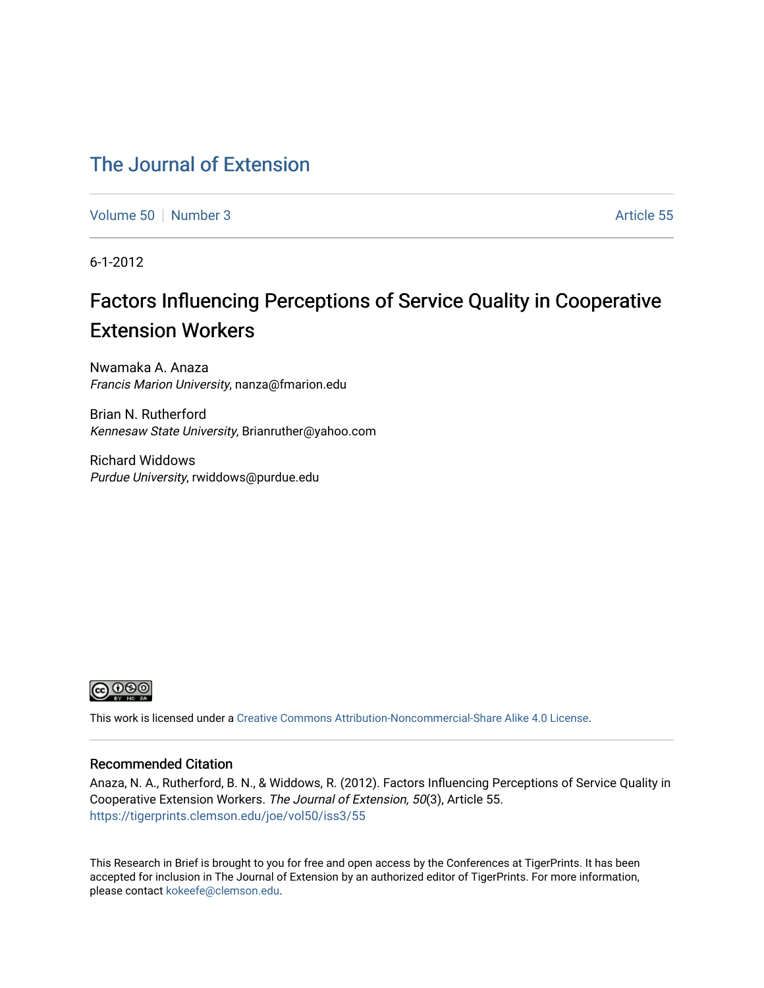# [The Journal of Extension](https://tigerprints.clemson.edu/joe)

[Volume 50](https://tigerprints.clemson.edu/joe/vol50) [Number 3](https://tigerprints.clemson.edu/joe/vol50/iss3) Article 55

6-1-2012

# Factors Influencing Perceptions of Service Quality in Cooperative Extension Workers

Nwamaka A. Anaza Francis Marion University, nanza@fmarion.edu

Brian N. Rutherford Kennesaw State University, Brianruther@yahoo.com

Richard Widdows Purdue University, rwiddows@purdue.edu



This work is licensed under a [Creative Commons Attribution-Noncommercial-Share Alike 4.0 License.](https://creativecommons.org/licenses/by-nc-sa/4.0/)

#### Recommended Citation

Anaza, N. A., Rutherford, B. N., & Widdows, R. (2012). Factors Influencing Perceptions of Service Quality in Cooperative Extension Workers. The Journal of Extension, 50(3), Article 55. <https://tigerprints.clemson.edu/joe/vol50/iss3/55>

This Research in Brief is brought to you for free and open access by the Conferences at TigerPrints. It has been accepted for inclusion in The Journal of Extension by an authorized editor of TigerPrints. For more information, please contact [kokeefe@clemson.edu](mailto:kokeefe@clemson.edu).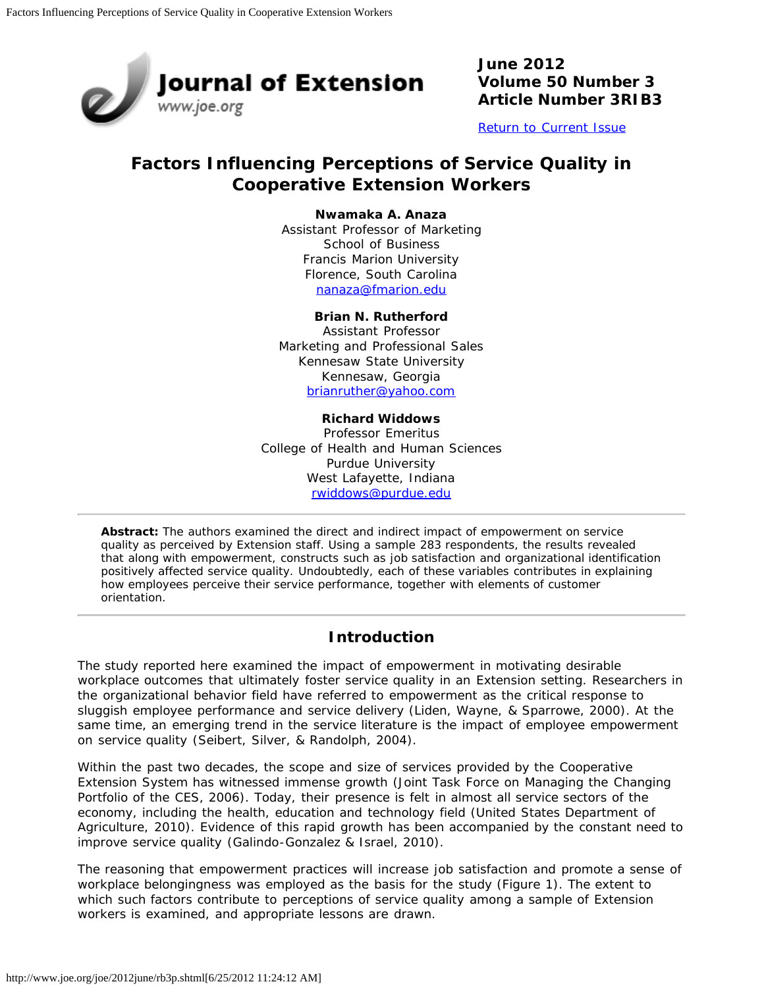

**June 2012 Volume 50 Number 3 Article Number 3RIB3**

[Return to Current Issue](http://www.joe.org/joe/2012june/)

# **Factors Influencing Perceptions of Service Quality in Cooperative Extension Workers**

#### **Nwamaka A. Anaza**

Assistant Professor of Marketing School of Business Francis Marion University Florence, South Carolina [nanaza@fmarion.edu](mailto:nanaza@fmarion.edu)

#### **Brian N. Rutherford**

Assistant Professor Marketing and Professional Sales Kennesaw State University Kennesaw, Georgia [brianruther@yahoo.com](mailto:brianruther@yahoo.com)

#### **Richard Widdows**

Professor Emeritus College of Health and Human Sciences Purdue University West Lafayette, Indiana [rwiddows@purdue.edu](mailto:rwiddows@purdue.edu)

*Abstract: The authors examined the direct and indirect impact of empowerment on service quality as perceived by Extension staff. Using a sample 283 respondents, the results revealed that along with empowerment, constructs such as job satisfaction and organizational identification positively affected service quality. Undoubtedly, each of these variables contributes in explaining how employees perceive their service performance, together with elements of customer orientation.*

# **Introduction**

The study reported here examined the impact of empowerment in motivating desirable workplace outcomes that ultimately foster service quality in an Extension setting. Researchers in the organizational behavior field have referred to empowerment as the critical response to sluggish employee performance and service delivery (Liden, Wayne, & Sparrowe, 2000). At the same time, an emerging trend in the service literature is the impact of employee empowerment on service quality (Seibert, Silver, & Randolph, 2004).

Within the past two decades, the scope and size of services provided by the Cooperative Extension System has witnessed immense growth (Joint Task Force on Managing the Changing Portfolio of the CES, 2006). Today, their presence is felt in almost all service sectors of the economy, including the health, education and technology field (United States Department of Agriculture, 2010). Evidence of this rapid growth has been accompanied by the constant need to improve service quality (Galindo-Gonzalez & Israel, 2010).

The reasoning that empowerment practices will increase job satisfaction and promote a sense of workplace belongingness was employed as the basis for the study (Figure 1). The extent to which such factors contribute to perceptions of service quality among a sample of Extension workers is examined, and appropriate lessons are drawn.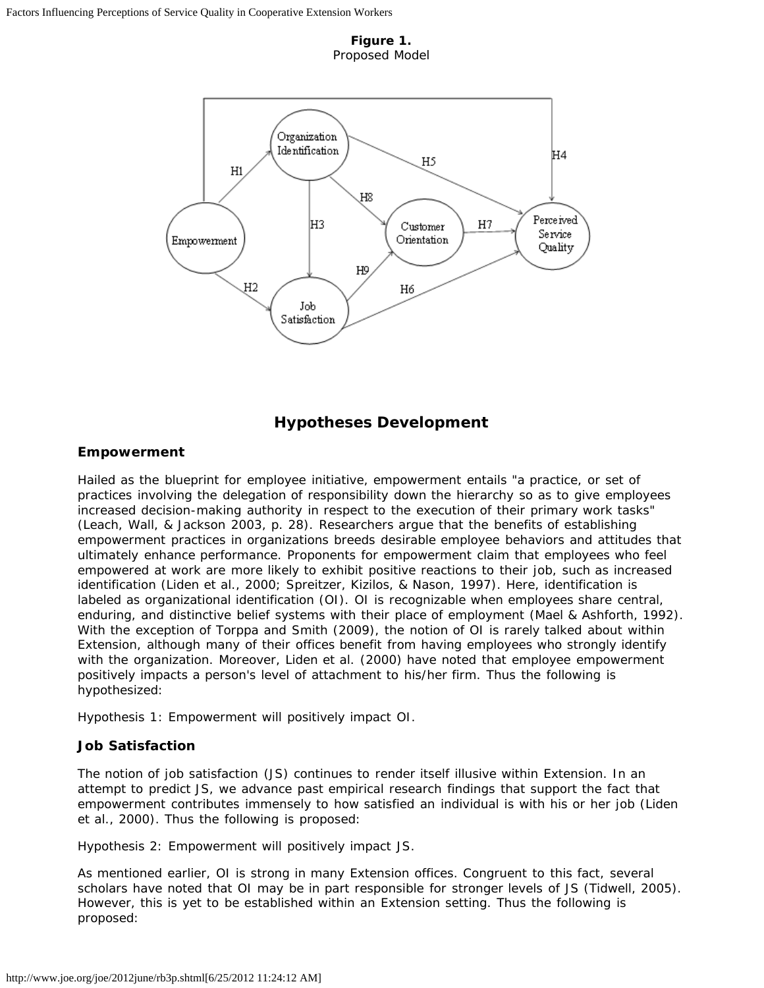**Figure 1.** Proposed Model



# **Hypotheses Development**

#### **Empowerment**

Hailed as the blueprint for employee initiative, empowerment entails "a practice, or set of practices involving the delegation of responsibility down the hierarchy so as to give employees increased decision-making authority in respect to the execution of their primary work tasks" (Leach, Wall, & Jackson 2003, p. 28). Researchers argue that the benefits of establishing empowerment practices in organizations breeds desirable employee behaviors and attitudes that ultimately enhance performance. Proponents for empowerment claim that employees who feel empowered at work are more likely to exhibit positive reactions to their job, such as increased identification (Liden et al., 2000; Spreitzer, Kizilos, & Nason, 1997). Here, identification is labeled as organizational identification (OI). OI is recognizable when employees share central, enduring, and distinctive belief systems with their place of employment (Mael & Ashforth, 1992). With the exception of Torppa and Smith (2009), the notion of OI is rarely talked about within Extension, although many of their offices benefit from having employees who strongly identify with the organization. Moreover, Liden et al. (2000) have noted that employee empowerment positively impacts a person's level of attachment to his/her firm. Thus the following is hypothesized:

*Hypothesis 1*: Empowerment will positively impact OI.

#### **Job Satisfaction**

The notion of job satisfaction (JS) continues to render itself illusive within Extension. In an attempt to predict JS, we advance past empirical research findings that support the fact that empowerment contributes immensely to how satisfied an individual is with his or her job (Liden et al., 2000). Thus the following is proposed:

*Hypothesis 2:* Empowerment will positively impact JS*.*

As mentioned earlier, OI is strong in many Extension offices. Congruent to this fact, several scholars have noted that OI may be in part responsible for stronger levels of JS (Tidwell, 2005). However, this is yet to be established within an Extension setting. Thus the following is proposed: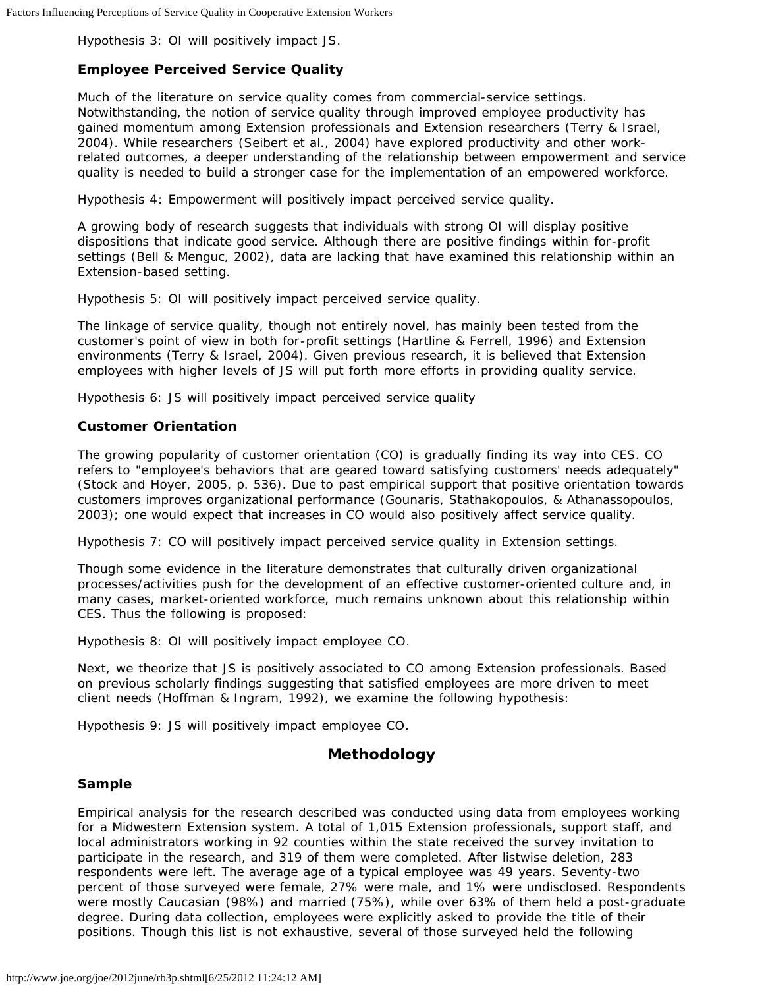*Hypothesis 3:* OI will positively impact JS*.*

#### **Employee Perceived Service Quality**

Much of the literature on service quality comes from commercial-service settings. Notwithstanding, the notion of service quality through improved employee productivity has gained momentum among Extension professionals and Extension researchers (Terry & Israel, 2004). While researchers (Seibert et al., 2004) have explored productivity and other workrelated outcomes, a deeper understanding of the relationship between empowerment and service quality is needed to build a stronger case for the implementation of an empowered workforce.

*Hypothesis 4*: Empowerment will positively impact perceived service quality.

A growing body of research suggests that individuals with strong OI will display positive dispositions that indicate good service. Although there are positive findings within for-profit settings (Bell & Menguc, 2002), data are lacking that have examined this relationship within an Extension-based setting.

*Hypothesis 5:* OI will positively impact perceived service quality.

The linkage of service quality, though not entirely novel, has mainly been tested from the customer's point of view in both for-profit settings (Hartline & Ferrell, 1996) and Extension environments (Terry & Israel, 2004). Given previous research, it is believed that Extension employees with higher levels of JS will put forth more efforts in providing quality service.

*Hypothesis 6:* JS will positively impact perceived service quality

#### **Customer Orientation**

The growing popularity of customer orientation (CO) is gradually finding its way into CES. CO refers to "employee's behaviors that are geared toward satisfying customers' needs adequately" (Stock and Hoyer, 2005, p. 536). Due to past empirical support that positive orientation towards customers improves organizational performance (Gounaris, Stathakopoulos, & Athanassopoulos, 2003); one would expect that increases in CO would also positively affect service quality.

*Hypothesis 7:* CO will positively impact perceived service quality in Extension settings.

Though some evidence in the literature demonstrates that culturally driven organizational processes/activities push for the development of an effective customer-oriented culture and, in many cases, market-oriented workforce, much remains unknown about this relationship within CES. Thus the following is proposed:

*Hypothesis 8:* OI will positively impact employee CO*.*

Next, we theorize that JS is positively associated to CO among Extension professionals. Based on previous scholarly findings suggesting that satisfied employees are more driven to meet client needs (Hoffman & Ingram, 1992), we examine the following hypothesis:

*Hypothesis 9:* JS will positively impact employee CO*.*

# **Methodology**

#### **Sample**

Empirical analysis for the research described was conducted using data from employees working for a Midwestern Extension system. A total of 1,015 Extension professionals, support staff, and local administrators working in 92 counties within the state received the survey invitation to participate in the research, and 319 of them were completed. After listwise deletion, 283 respondents were left. The average age of a typical employee was 49 years. Seventy-two percent of those surveyed were female, 27% were male, and 1% were undisclosed. Respondents were mostly Caucasian (98%) and married (75%), while over 63% of them held a post-graduate degree. During data collection, employees were explicitly asked to provide the title of their positions. Though this list is not exhaustive, several of those surveyed held the following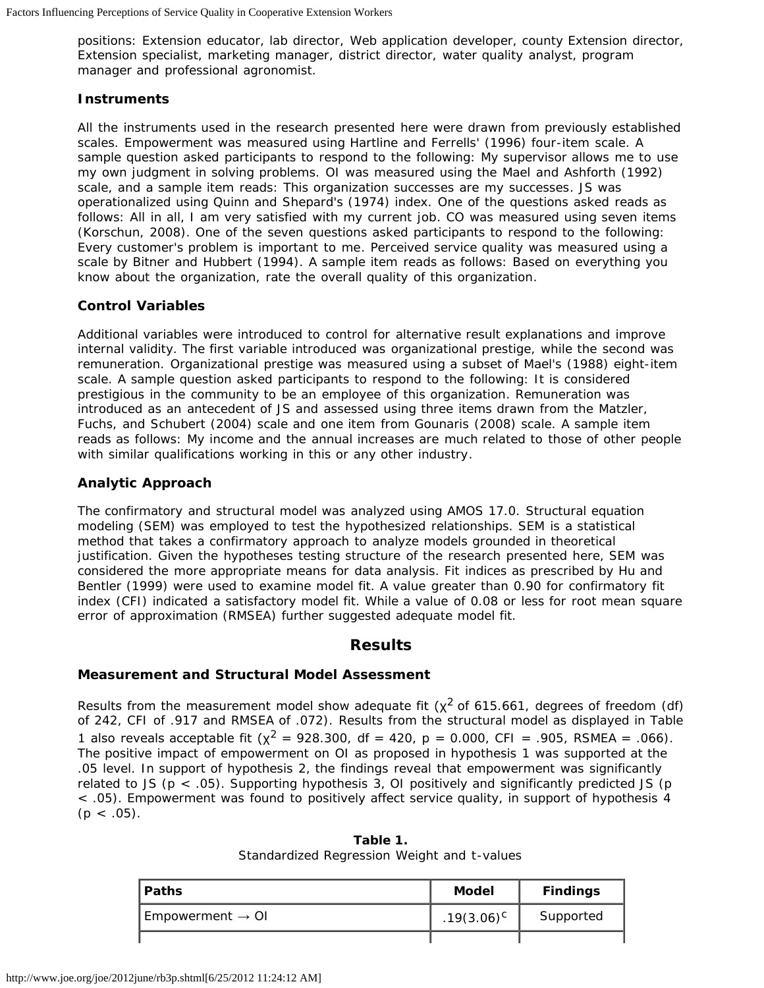positions: Extension educator, lab director, Web application developer, county Extension director, Extension specialist, marketing manager, district director, water quality analyst, program manager and professional agronomist.

#### **Instruments**

All the instruments used in the research presented here were drawn from previously established scales. Empowerment was measured using Hartline and Ferrells' (1996) four-item scale. A sample question asked participants to respond to the following: *My supervisor allows me to use my own judgment in solving problems.* OI was measured using the Mael and Ashforth (1992) scale, and a sample item reads: *This organization successes are my successes*. JS was operationalized using Quinn and Shepard's (1974) index. One of the questions asked reads as follows: *All in all, I am very satisfied with my current job*. CO was measured using seven items (Korschun, 2008). One of the seven questions asked participants to respond to the following: *Every customer's problem is important to me*. Perceived service quality was measured using a scale by Bitner and Hubbert (1994). A sample item reads as follows: *Based on everything you know about the organization, rate the overall quality of this organization*.

#### **Control Variables**

Additional variables were introduced to control for alternative result explanations and improve internal validity. The first variable introduced was organizational prestige, while the second was remuneration. Organizational prestige was measured using a subset of Mael's (1988) eight-item scale. A sample question asked participants to respond to the following: *It is considered prestigious in the community to be an employee of this organization*. Remuneration was introduced as an antecedent of JS and assessed using three items drawn from the Matzler, Fuchs, and Schubert (2004) scale and one item from Gounaris (2008) scale. A sample item reads as follows: *My income and the annual increases are much related to those of other people with similar qualifications working in this or any other industry*.

#### **Analytic Approach**

The confirmatory and structural model was analyzed using AMOS 17.0. Structural equation modeling (SEM) was employed to test the hypothesized relationships. SEM is a statistical method that takes a confirmatory approach to analyze models grounded in theoretical justification. Given the hypotheses testing structure of the research presented here, SEM was considered the more appropriate means for data analysis. Fit indices as prescribed by Hu and Bentler (1999) were used to examine model fit. A value greater than 0.90 for confirmatory fit index (CFI) indicated a satisfactory model fit. While a value of 0.08 or less for root mean square error of approximation (RMSEA) further suggested adequate model fit.

## **Results**

#### **Measurement and Structural Model Assessment**

Results from the measurement model show adequate fit ( $\chi^2$  of 615.661, degrees of freedom (df) of 242, CFI of .917 and RMSEA of .072). Results from the structural model as displayed in Table 1 also reveals acceptable fit ( $\chi^2$  = 928.300, df = 420, p = 0.000, CFI = .905, RSMEA = .066). The positive impact of empowerment on OI as proposed in hypothesis 1 was supported at the .05 level. In support of hypothesis 2, the findings reveal that empowerment was significantly related to JS (p < .05). Supporting hypothesis 3, OI positively and significantly predicted JS (p < .05). Empowerment was found to positively affect service quality, in support of hypothesis 4  $(p < .05)$ .

| <b>Paths</b>                 | <b>Model</b>    | <b>Findings</b> |
|------------------------------|-----------------|-----------------|
| Empowerment $\rightarrow$ OI | $.19(3.06)^{C}$ | Supported       |
|                              |                 |                 |

**Table 1.** Standardized Regression Weight and t-values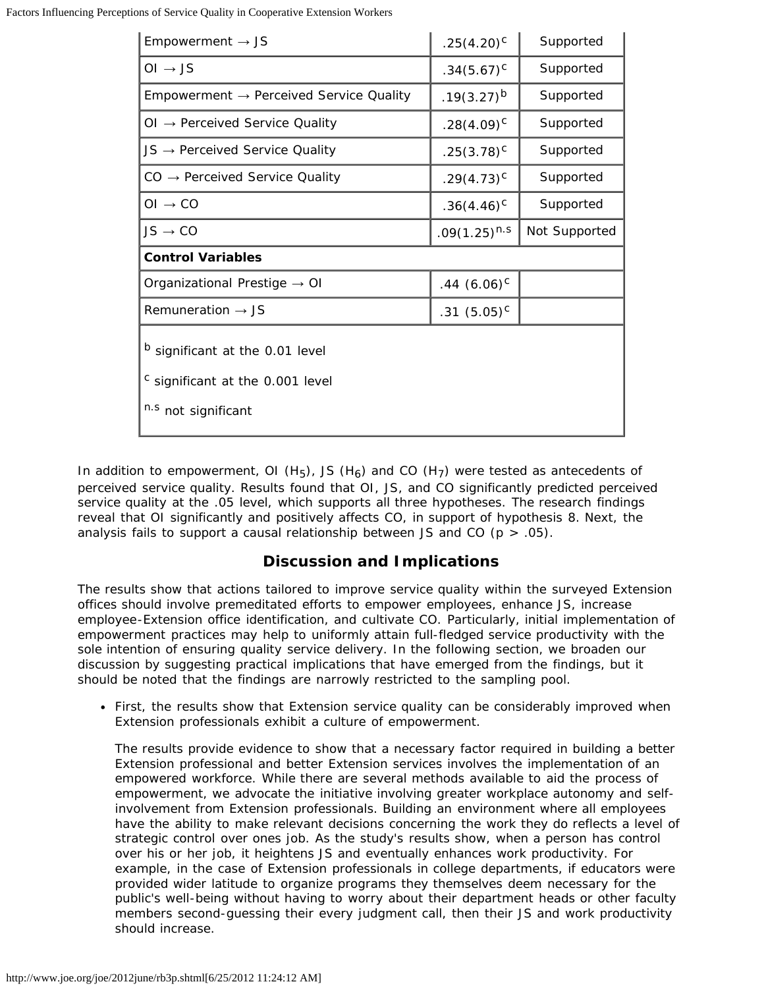| Empowerment $\rightarrow$ JS                                                                          | $.25(4.20)^{C}$   | Supported     |  |
|-------------------------------------------------------------------------------------------------------|-------------------|---------------|--|
| $OI \rightarrow JS$                                                                                   | $.34(5.67)^{c}$   | Supported     |  |
| Empowerment $\rightarrow$ Perceived Service Quality                                                   | $.19(3.27)^{b}$   | Supported     |  |
| $OI \rightarrow$ Perceived Service Quality                                                            | $.28(4.09)^{C}$   | Supported     |  |
| $JS \rightarrow$ Perceived Service Quality                                                            | $.25(3.78)^{c}$   | Supported     |  |
| $CO \rightarrow$ Perceived Service Quality                                                            | $.29(4.73)^{c}$   | Supported     |  |
| $OI \rightarrow CO$                                                                                   | $.36(4.46)^{c}$   | Supported     |  |
| $JS \rightarrow CO$                                                                                   | $.09(1.25)^{n.s}$ | Not Supported |  |
| <b>Control Variables</b>                                                                              |                   |               |  |
| Organizational Prestige $\rightarrow$ OI                                                              | $.44(6.06)^{c}$   |               |  |
| Remuneration $\rightarrow$ JS                                                                         | $.31(5.05)^{c}$   |               |  |
| <sup>b</sup> significant at the 0.01 level<br>c significant at the 0.001 level<br>n.s not significant |                   |               |  |

In addition to empowerment, OI (H<sub>5</sub>), JS (H<sub>6</sub>) and CO (H<sub>7</sub>) were tested as antecedents of perceived service quality. Results found that OI, JS, and CO significantly predicted perceived service quality at the .05 level, which supports all three hypotheses. The research findings reveal that OI significantly and positively affects CO, in support of hypothesis 8. Next, the analysis fails to support a causal relationship between JS and CO ( $p > .05$ ).

## **Discussion and Implications**

The results show that actions tailored to improve service quality within the surveyed Extension offices should involve premeditated efforts to empower employees, enhance JS, increase employee-Extension office identification, and cultivate CO. Particularly, initial implementation of empowerment practices may help to uniformly attain full-fledged service productivity with the sole intention of ensuring quality service delivery. In the following section, we broaden our discussion by suggesting practical implications that have emerged from the findings, but it should be noted that the findings are narrowly restricted to the sampling pool.

• First, the results show that Extension service quality can be considerably improved when Extension professionals exhibit a culture of empowerment.

The results provide evidence to show that a necessary factor required in building a better Extension professional and better Extension services involves the implementation of an empowered workforce. While there are several methods available to aid the process of empowerment, we advocate the initiative involving greater workplace autonomy and selfinvolvement from Extension professionals. Building an environment where all employees have the ability to make relevant decisions concerning the work they do reflects a level of strategic control over ones job. As the study's results show, when a person has control over his or her job, it heightens JS and eventually enhances work productivity. For example, in the case of Extension professionals in college departments, if educators were provided wider latitude to organize programs they themselves deem necessary for the public's well-being without having to worry about their department heads or other faculty members second-guessing their every judgment call, then their JS and work productivity should increase.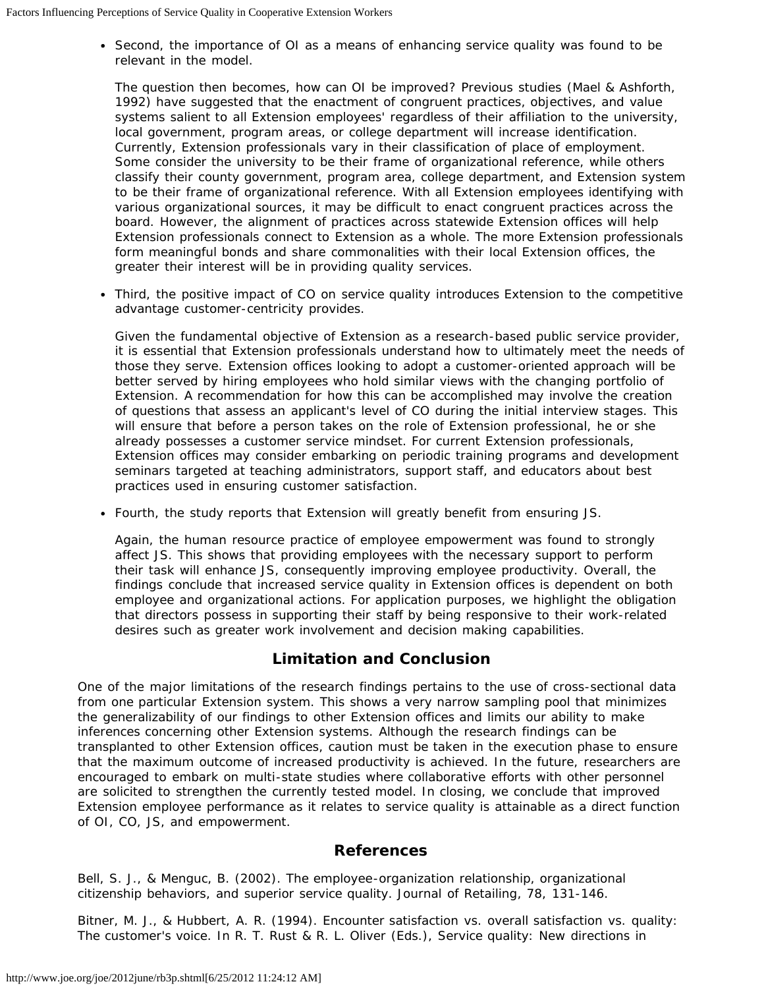• Second, the importance of OI as a means of enhancing service quality was found to be relevant in the model.

The question then becomes, how can OI be improved? Previous studies (Mael & Ashforth, 1992) have suggested that the enactment of congruent practices, objectives, and value systems salient to all Extension employees' regardless of their affiliation to the university, local government, program areas, or college department will increase identification. Currently, Extension professionals vary in their classification of place of employment. Some consider the university to be their frame of organizational reference, while others classify their county government, program area, college department, and Extension system to be their frame of organizational reference. With all Extension employees identifying with various organizational sources, it may be difficult to enact congruent practices across the board. However, the alignment of practices across statewide Extension offices will help Extension professionals connect to Extension as a whole. The more Extension professionals form meaningful bonds and share commonalities with their local Extension offices, the greater their interest will be in providing quality services.

Third, the positive impact of CO on service quality introduces Extension to the competitive advantage customer-centricity provides.

Given the fundamental objective of Extension as a research-based public service provider, it is essential that Extension professionals understand how to ultimately meet the needs of those they serve. Extension offices looking to adopt a customer-oriented approach will be better served by hiring employees who hold similar views with the changing portfolio of Extension. A recommendation for how this can be accomplished may involve the creation of questions that assess an applicant's level of CO during the initial interview stages. This will ensure that before a person takes on the role of Extension professional, he or she already possesses a customer service mindset. For current Extension professionals, Extension offices may consider embarking on periodic training programs and development seminars targeted at teaching administrators, support staff, and educators about best practices used in ensuring customer satisfaction.

Fourth, the study reports that Extension will greatly benefit from ensuring JS.

Again, the human resource practice of employee empowerment was found to strongly affect JS. This shows that providing employees with the necessary support to perform their task will enhance JS, consequently improving employee productivity. Overall, the findings conclude that increased service quality in Extension offices is dependent on both employee and organizational actions. For application purposes, we highlight the obligation that directors possess in supporting their staff by being responsive to their work-related desires such as greater work involvement and decision making capabilities.

# **Limitation and Conclusion**

One of the major limitations of the research findings pertains to the use of cross-sectional data from one particular Extension system. This shows a very narrow sampling pool that minimizes the generalizability of our findings to other Extension offices and limits our ability to make inferences concerning other Extension systems. Although the research findings can be transplanted to other Extension offices, caution must be taken in the execution phase to ensure that the maximum outcome of increased productivity is achieved. In the future, researchers are encouraged to embark on multi-state studies where collaborative efforts with other personnel are solicited to strengthen the currently tested model. In closing, we conclude that improved Extension employee performance as it relates to service quality is attainable as a direct function of OI, CO, JS, and empowerment.

## **References**

Bell, S. J., & Menguc, B. (2002). The employee-organization relationship, organizational citizenship behaviors, and superior service quality. *Journal of Retailing*, 78, 131-146.

Bitner, M. J., & Hubbert, A. R. (1994). Encounter satisfaction vs. overall satisfaction vs. quality: The customer's voice. In R. T. Rust & R. L. Oliver (Eds.), *Service quality: New directions in*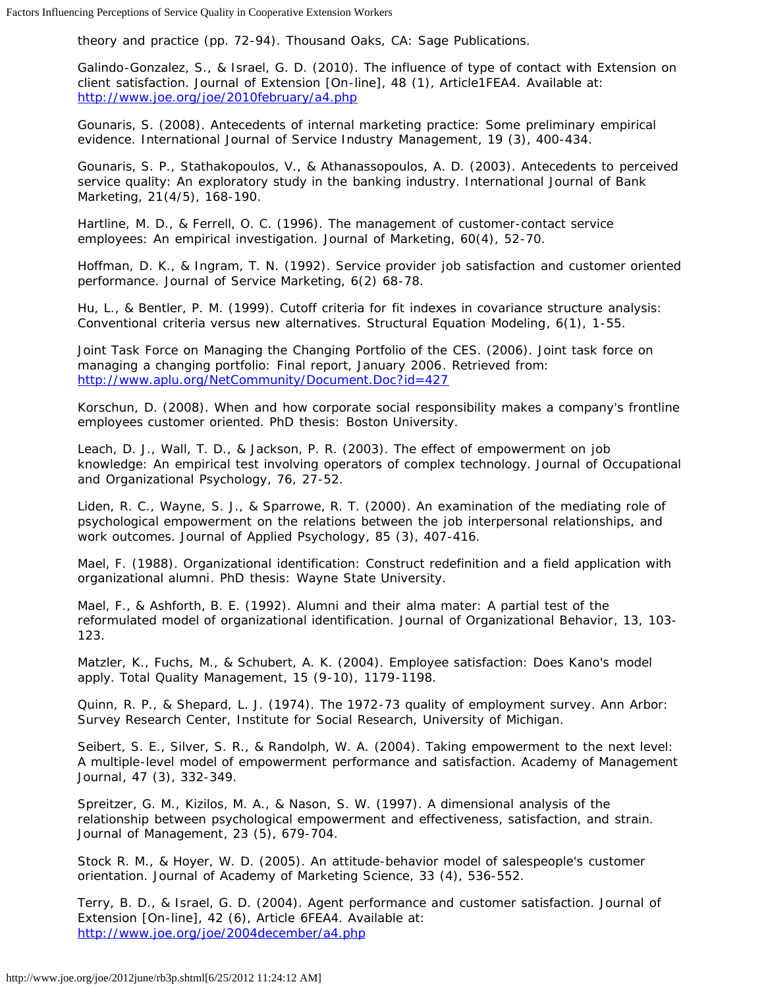*theory and practice* (pp. 72-94). Thousand Oaks, CA: Sage Publications.

Galindo-Gonzalez, S., & Israel, G. D. (2010). The influence of type of contact with Extension on client satisfaction. *Journal of Extension* [On-line], 48 (1), Article1FEA4. Available at: <http://www.joe.org/joe/2010february/a4.php>

Gounaris, S. (2008). Antecedents of internal marketing practice: Some preliminary empirical evidence. *International Journal of Service Industry Management*, 19 (3), 400-434.

Gounaris, S. P., Stathakopoulos, V., & Athanassopoulos, A. D. (2003). Antecedents to perceived service quality: An exploratory study in the banking industry. *International Journal of Bank Marketing*, *21*(4/5), 168-190.

Hartline, M. D., & Ferrell, O. C. (1996). The management of customer-contact service employees: An empirical investigation. *Journal of Marketing*, 60(4), 52-70.

Hoffman, D. K., & Ingram, T. N. (1992). Service provider job satisfaction and customer oriented performance. *Journal of Service Marketing,* 6(2) 68-78.

Hu, L., & Bentler, P. M. (1999). Cutoff criteria for fit indexes in covariance structure analysis: Conventional criteria versus new alternatives. *Structural Equation Modeling*, 6(1), 1-55.

Joint Task Force on Managing the Changing Portfolio of the CES. (2006). *Joint task force on managing a changing portfolio: Final report, January 2006*. Retrieved from: <http://www.aplu.org/NetCommunity/Document.Doc?id=427>

Korschun, D. (2008). *When and how corporate social responsibility makes a company's frontline employees customer oriented*. PhD thesis: Boston University.

Leach, D. J., Wall, T. D., & Jackson, P. R. (2003). The effect of empowerment on job knowledge: An empirical test involving operators of complex technology. *Journal of Occupational and Organizational Psychology*, 76, 27-52.

Liden, R. C., Wayne, S. J., & Sparrowe, R. T. (2000). An examination of the mediating role of psychological empowerment on the relations between the job interpersonal relationships, and work outcomes. *Journal of Applied Psychology*, 85 (3), 407-416.

Mael, F. (1988). *Organizational identification: Construct redefinition and a field application with organizational alumni*. PhD thesis: Wayne State University.

Mael, F., & Ashforth, B. E. (1992). Alumni and their alma mater: A partial test of the reformulated model of organizational identification. *Journal of Organizational Behavior*, 13, 103- 123.

Matzler, K., Fuchs, M., & Schubert, A. K. (2004). Employee satisfaction: Does Kano's model apply. *Total Quality Management*, 15 (9-10), 1179-1198.

Quinn, R. P., & Shepard, L. J. (1974). *The 1972-73 quality of employment survey*. Ann Arbor: Survey Research Center, Institute for Social Research, University of Michigan.

Seibert, S. E., Silver, S. R., & Randolph, W. A. (2004). Taking empowerment to the next level: A multiple-level model of empowerment performance and satisfaction. *Academy of Management Journal*, 47 (3), 332-349.

Spreitzer, G. M., Kizilos, M. A., & Nason, S. W. (1997). A dimensional analysis of the relationship between psychological empowerment and effectiveness, satisfaction, and strain. *Journal of Management*, 23 (5), 679-704.

Stock R. M., & Hoyer, W. D. (2005). An attitude-behavior model of salespeople's customer orientation. *Journal of Academy of Marketing Science*, 33 (4), 536-552.

Terry, B. D., & Israel, G. D. (2004). Agent performance and customer satisfaction. *Journal of Extension* [On-line], 42 (6), Article 6FEA4. Available at: <http://www.joe.org/joe/2004december/a4.php>